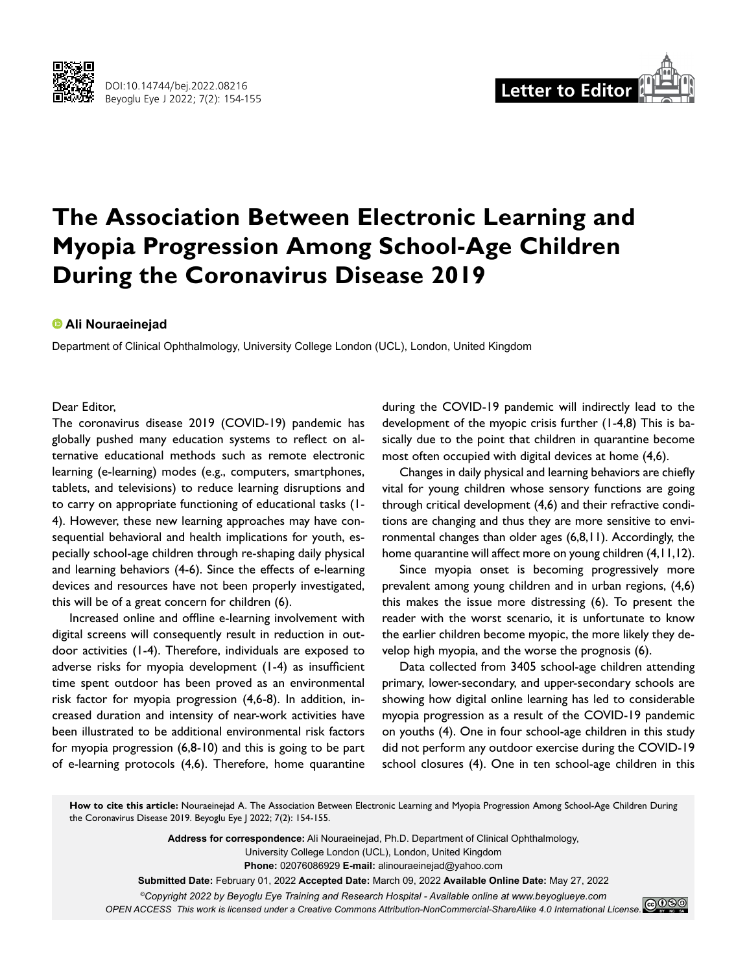



# **The Association Between Electronic Learning and Myopia Progression Among School-Age Children During the Coronavirus Disease 2019**

### **Ali Nouraeinejad**

Department of Clinical Ophthalmology, University College London (UCL), London, United Kingdom

#### Dear Editor,

The coronavirus disease 2019 (COVID-19) pandemic has globally pushed many education systems to reflect on alternative educational methods such as remote electronic learning (e-learning) modes (e.g., computers, smartphones, tablets, and televisions) to reduce learning disruptions and to carry on appropriate functioning of educational tasks (1- 4). However, these new learning approaches may have consequential behavioral and health implications for youth, especially school-age children through re-shaping daily physical and learning behaviors (4-6). Since the effects of e-learning devices and resources have not been properly investigated, this will be of a great concern for children (6).

Increased online and offline e-learning involvement with digital screens will consequently result in reduction in outdoor activities (1-4). Therefore, individuals are exposed to adverse risks for myopia development (1-4) as insufficient time spent outdoor has been proved as an environmental risk factor for myopia progression (4,6-8). In addition, increased duration and intensity of near-work activities have been illustrated to be additional environmental risk factors for myopia progression (6,8-10) and this is going to be part of e-learning protocols (4,6). Therefore, home quarantine during the COVID-19 pandemic will indirectly lead to the development of the myopic crisis further (1-4,8) This is basically due to the point that children in quarantine become most often occupied with digital devices at home (4,6).

Changes in daily physical and learning behaviors are chiefly vital for young children whose sensory functions are going through critical development (4,6) and their refractive conditions are changing and thus they are more sensitive to environmental changes than older ages (6,8,11). Accordingly, the home quarantine will affect more on young children (4,11,12).

Since myopia onset is becoming progressively more prevalent among young children and in urban regions, (4,6) this makes the issue more distressing (6). To present the reader with the worst scenario, it is unfortunate to know the earlier children become myopic, the more likely they develop high myopia, and the worse the prognosis (6).

Data collected from 3405 school-age children attending primary, lower-secondary, and upper-secondary schools are showing how digital online learning has led to considerable myopia progression as a result of the COVID-19 pandemic on youths (4). One in four school-age children in this study did not perform any outdoor exercise during the COVID-19 school closures (4). One in ten school-age children in this

**How to cite this article:** Nouraeinejad A. The Association Between Electronic Learning and Myopia Progression Among School-Age Children During the Coronavirus Disease 2019. Beyoglu Eye J 2022; 7(2): 154-155.

> **Address for correspondence:** Ali Nouraeinejad, Ph.D. Department of Clinical Ophthalmology, University College London (UCL), London, United Kingdom **Phone:** 02076086929 **E-mail:** alinouraeinejad@yahoo.com **Submitted Date:** February 01, 2022 **Accepted Date:** March 09, 2022 **Available Online Date:** May 27, 2022

*©Copyright 2022 by Beyoglu Eye Training and Research Hospital - Available online at www.beyoglueye.com OPEN ACCESS This work is licensed under a Creative Commons Attribution-NonCommercial-ShareAlike 4.0 International License.*